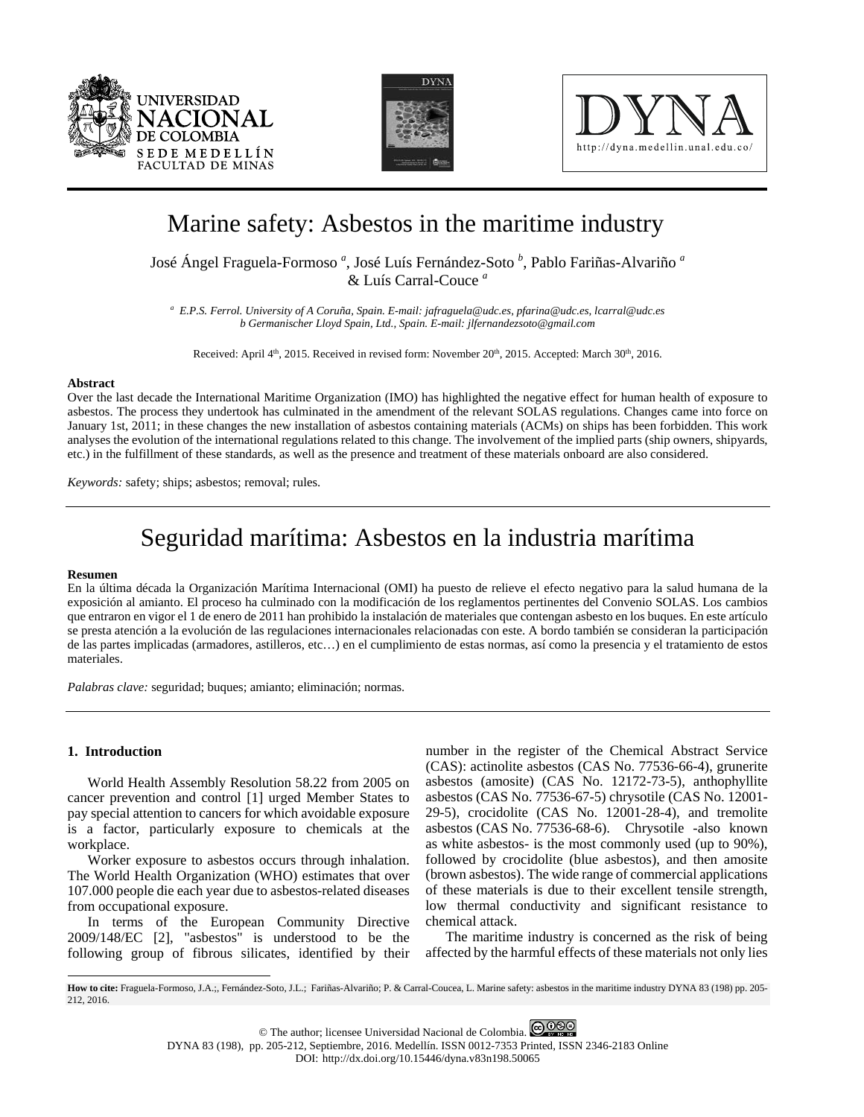





# Marine safety: Asbestos in the maritime industry

José Ángel Fraguela-Formoso *<sup>a</sup>* , José Luís Fernández-Soto *<sup>b</sup>* , Pablo Fariñas-Alvariño *<sup>a</sup>* & Luís Carral-Couce *<sup>a</sup>*

*a E.P.S. Ferrol. University of A Coruña, Spain. E-mail[: jafraguela@udc.es,](mailto:jafraguela@udc.es) pfarina@udc.es, lcarral@udc.es b Germanischer Lloyd Spain, Ltd., Spain. E-mail: jlfernandezsoto@gmail.com*

Received: April 4<sup>th</sup>, 2015. Received in revised form: November 20<sup>th</sup>, 2015. Accepted: March 30<sup>th</sup>, 2016.

#### **Abstract**

Over the last decade the International Maritime Organization (IMO) has highlighted the negative effect for human health of exposure to asbestos. The process they undertook has culminated in the amendment of the relevant SOLAS regulations. Changes came into force on January 1st, 2011; in these changes the new installation of asbestos containing materials (ACMs) on ships has been forbidden. This work analyses the evolution of the international regulations related to this change. The involvement of the implied parts (ship owners, shipyards, etc.) in the fulfillment of these standards, as well as the presence and treatment of these materials onboard are also considered.

*Keywords:* safety; ships; asbestos; removal; rules.

# Seguridad marítima: Asbestos en la industria marítima

#### **Resumen**

En la última década la Organización Marítima Internacional (OMI) ha puesto de relieve el efecto negativo para la salud humana de la exposición al amianto. El proceso ha culminado con la modificación de los reglamentos pertinentes del Convenio SOLAS. Los cambios que entraron en vigor el 1 de enero de 2011 han prohibido la instalación de materiales que contengan asbesto en los buques. En este artículo se presta atención a la evolución de las regulaciones internacionales relacionadas con este. A bordo también se consideran la participación de las partes implicadas (armadores, astilleros, etc…) en el cumplimiento de estas normas, así como la presencia y el tratamiento de estos materiales.

*Palabras clave:* seguridad; buques; amianto; eliminación; normas.

## **1. Introduction**

 $\overline{a}$ 

World Health Assembly Resolution 58.22 from 2005 on cancer prevention and control [1] urged Member States to pay special attention to cancers for which avoidable exposure is a factor, particularly exposure to chemicals at the workplace.

Worker exposure to asbestos occurs through inhalation. The World Health Organization (WHO) estimates that over 107.000 people die each year due to asbestos-related diseases from occupational exposure.

In terms of the European Community Directive 2009/148/EC [2], "asbestos" is understood to be the following group of fibrous silicates, identified by their

number in the register of the Chemical Abstract Service (CAS): actinolite asbestos (CAS No. 77536-66-4), grunerite asbestos (amosite) (CAS No. 12172-73-5), anthophyllite asbestos (CAS No. 77536-67-5) chrysotile (CAS No. 12001- 29-5), crocidolite (CAS No. 12001-28-4), and tremolite asbestos (CAS No. 77536-68-6). Chrysotile -also known as white asbestos- is the most commonly used (up to 90%), followed by crocidolite (blue asbestos), and then amosite (brown asbestos). The wide range of commercial applications of these materials is due to their excellent tensile strength, low thermal conductivity and significant resistance to chemical attack.

The maritime industry is concerned as the risk of being affected by the harmful effects of these materials not only lies

<span id="page-0-0"></span>**How to cite:** Fraguela-Formoso, J.A.;, Fernández-Soto, J.L.; Fariñas-Alvariño; P. & Carral-Coucea, L. Marine safety: asbestos in the maritime industry DYNA 83 (198) pp. 205- 212, 2016.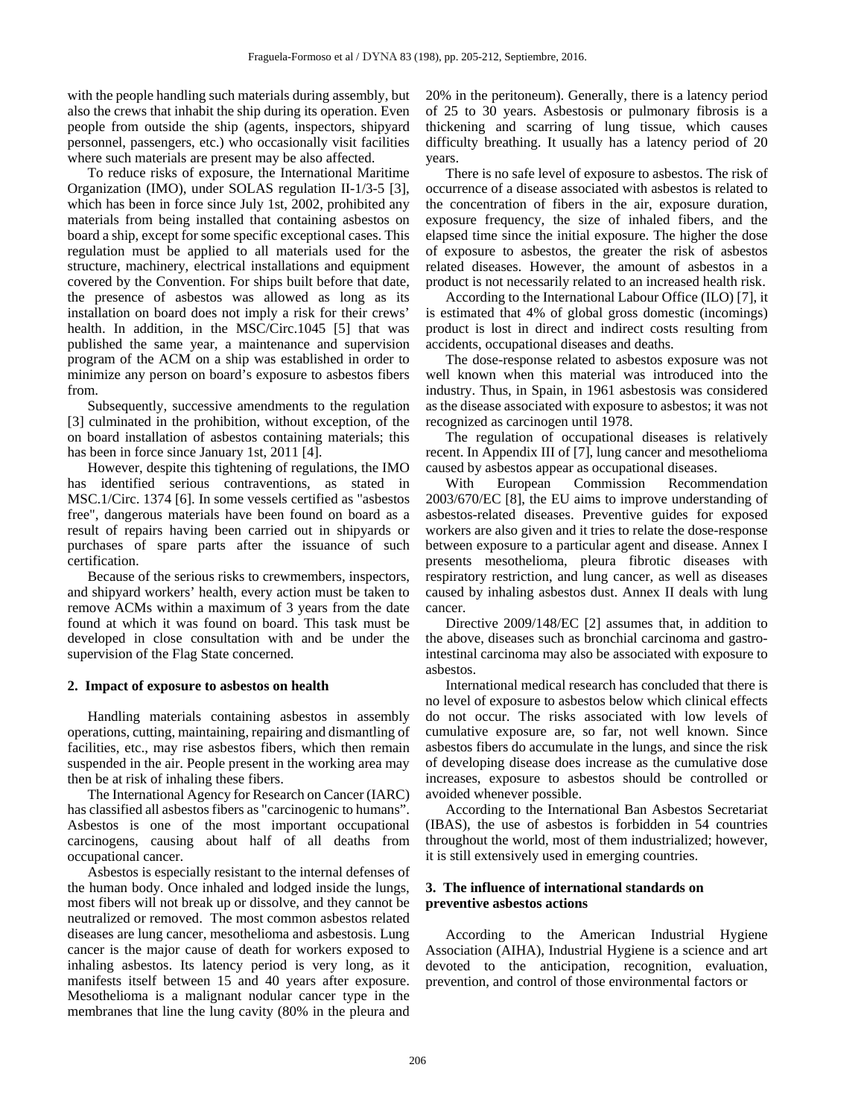with the people handling such materials during assembly, but also the crews that inhabit the ship during its operation. Even people from outside the ship (agents, inspectors, shipyard personnel, passengers, etc.) who occasionally visit facilities where such materials are present may be also affected.

To reduce risks of exposure, the International Maritime Organization (IMO), under SOLAS regulation II-1/3-5 [3], which has been in force since July 1st, 2002, prohibited any materials from being installed that containing asbestos on board a ship, except for some specific exceptional cases. This regulation must be applied to all materials used for the structure, machinery, electrical installations and equipment covered by the Convention. For ships built before that date, the presence of asbestos was allowed as long as its installation on board does not imply a risk for their crews' health. In addition, in the MSC/Circ.1045 [5] that was published the same year, a maintenance and supervision program of the ACM on a ship was established in order to minimize any person on board's exposure to asbestos fibers from.

Subsequently, successive amendments to the regulation [3] culminated in the prohibition, without exception, of the on board installation of asbestos containing materials; this has been in force since January 1st, 2011 [4].

However, despite this tightening of regulations, the IMO has identified serious contraventions, as stated in MSC.1/Circ. 1374 [6]. In some vessels certified as "asbestos free", dangerous materials have been found on board as a result of repairs having been carried out in shipyards or purchases of spare parts after the issuance of such certification.

Because of the serious risks to crewmembers, inspectors, and shipyard workers' health, every action must be taken to remove ACMs within a maximum of 3 years from the date found at which it was found on board. This task must be developed in close consultation with and be under the supervision of the Flag State concerned.

### **2. Impact of exposure to asbestos on health**

Handling materials containing asbestos in assembly operations, cutting, maintaining, repairing and dismantling of facilities, etc., may rise asbestos fibers, which then remain suspended in the air. People present in the working area may then be at risk of inhaling these fibers.

The International Agency for Research on Cancer (IARC) has classified all asbestos fibers as "carcinogenic to humans". Asbestos is one of the most important occupational carcinogens, causing about half of all deaths from occupational cancer.

Asbestos is especially resistant to the internal defenses of the human body. Once inhaled and lodged inside the lungs, most fibers will not break up or dissolve, and they cannot be neutralized or removed. The most common asbestos related diseases are lung cancer, mesothelioma and asbestosis. Lung cancer is the major cause of death for workers exposed to inhaling asbestos. Its latency period is very long, as it manifests itself between 15 and 40 years after exposure. Mesothelioma is a malignant nodular cancer type in the membranes that line the lung cavity (80% in the pleura and

20% in the peritoneum). Generally, there is a latency period of 25 to 30 years. Asbestosis or pulmonary fibrosis is a thickening and scarring of lung tissue, which causes difficulty breathing. It usually has a latency period of 20 years.

There is no safe level of exposure to asbestos. The risk of occurrence of a disease associated with asbestos is related to the concentration of fibers in the air, exposure duration, exposure frequency, the size of inhaled fibers, and the elapsed time since the initial exposure. The higher the dose of exposure to asbestos, the greater the risk of asbestos related diseases. However, the amount of asbestos in a product is not necessarily related to an increased health risk.

According to the International Labour Office (ILO) [7], it is estimated that 4% of global gross domestic (incomings) product is lost in direct and indirect costs resulting from accidents, occupational diseases and deaths.

The dose-response related to asbestos exposure was not well known when this material was introduced into the industry. Thus, in Spain, in 1961 asbestosis was considered as the disease associated with exposure to asbestos; it was not recognized as carcinogen until 1978.

The regulation of occupational diseases is relatively recent. In Appendix III of [7], lung cancer and mesothelioma caused by asbestos appear as occupational diseases.

With European Commission Recommendation 2003/670/EC [8], the EU aims to improve understanding of asbestos-related diseases. Preventive guides for exposed workers are also given and it tries to relate the dose-response between exposure to a particular agent and disease. Annex I presents mesothelioma, pleura fibrotic diseases with respiratory restriction, and lung cancer, as well as diseases caused by inhaling asbestos dust. Annex II deals with lung cancer.

Directive 2009/148/EC [2] assumes that, in addition to the above, diseases such as bronchial carcinoma and gastrointestinal carcinoma may also be associated with exposure to asbestos.

International medical research has concluded that there is no level of exposure to asbestos below which clinical effects do not occur. The risks associated with low levels of cumulative exposure are, so far, not well known. Since asbestos fibers do accumulate in the lungs, and since the risk of developing disease does increase as the cumulative dose increases, exposure to asbestos should be controlled or avoided whenever possible.

According to the International Ban Asbestos Secretariat (IBAS), the use of asbestos is forbidden in 54 countries throughout the world, most of them industrialized; however, it is still extensively used in emerging countries.

## **3. The influence of international standards on preventive asbestos actions**

According to the American Industrial Hygiene Association (AIHA), Industrial Hygiene is a science and art devoted to the anticipation, recognition, evaluation, prevention, and control of those environmental factors or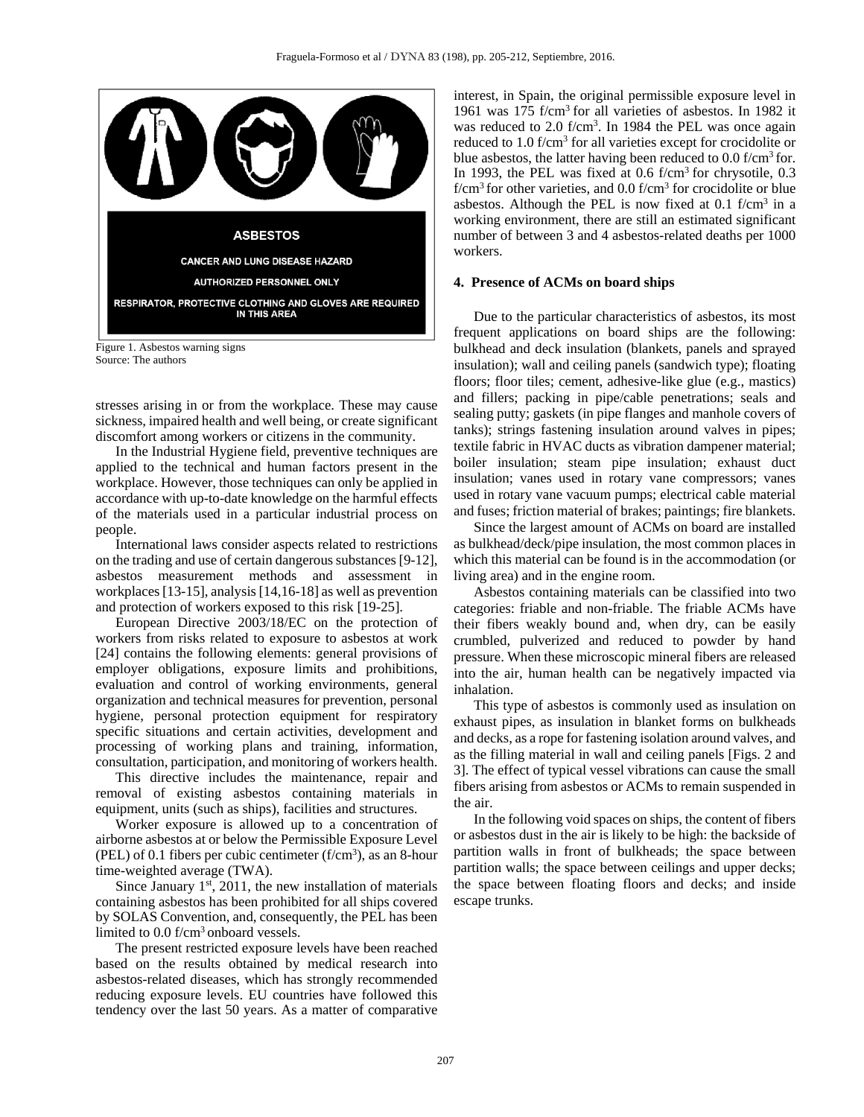

Figure 1. Asbestos warning signs Source: The authors

stresses arising in or from the workplace. These may cause sickness, impaired health and well being, or create significant discomfort among workers or citizens in the community.

In the Industrial Hygiene field, preventive techniques are applied to the technical and human factors present in the workplace. However, those techniques can only be applied in accordance with up-to-date knowledge on the harmful effects of the materials used in a particular industrial process on people.

International laws consider aspects related to restrictions on the trading and use of certain dangerous substances [9-12], asbestos measurement methods and assessment in workplaces [13-15], analysis [14,16-18] as well as prevention and protection of workers exposed to this risk [19-25].

European Directive 2003/18/EC on the protection of workers from risks related to exposure to asbestos at work [24] contains the following elements: general provisions of employer obligations, exposure limits and prohibitions, evaluation and control of working environments, general organization and technical measures for prevention, personal hygiene, personal protection equipment for respiratory specific situations and certain activities, development and processing of working plans and training, information, consultation, participation, and monitoring of workers health.

This directive includes the maintenance, repair and removal of existing asbestos containing materials in equipment, units (such as ships), facilities and structures.

Worker exposure is allowed up to a concentration of airborne asbestos at or below the Permissible Exposure Level (PEL) of 0.1 fibers per cubic centimeter  $(f/cm<sup>3</sup>)$ , as an 8-hour time-weighted average (TWA).

Since January  $1<sup>st</sup>$ , 2011, the new installation of materials containing asbestos has been prohibited for all ships covered by SOLAS Convention, and, consequently, the PEL has been limited to 0.0 f/cm<sup>3</sup> onboard vessels.

The present restricted exposure levels have been reached based on the results obtained by medical research into asbestos-related diseases, which has strongly recommended reducing exposure levels. EU countries have followed this tendency over the last 50 years. As a matter of comparative

interest, in Spain, the original permissible exposure level in 1961 was 175 f/cm3 for all varieties of asbestos. In 1982 it was reduced to 2.0 f/cm<sup>3</sup>. In 1984 the PEL was once again reduced to 1.0 f/cm3 for all varieties except for crocidolite or blue asbestos, the latter having been reduced to 0.0 f/cm3 for. In 1993, the PEL was fixed at 0.6 f/cm<sup>3</sup> for chrysotile, 0.3  $f/cm<sup>3</sup>$  for other varieties, and 0.0  $f/cm<sup>3</sup>$  for crocidolite or blue asbestos. Although the PEL is now fixed at  $0.1$  f/cm<sup>3</sup> in a working environment, there are still an estimated significant number of between 3 and 4 asbestos-related deaths per 1000 workers.

## **4. Presence of ACMs on board ships**

Due to the particular characteristics of asbestos, its most frequent applications on board ships are the following: bulkhead and deck insulation (blankets, panels and sprayed insulation); wall and ceiling panels (sandwich type); floating floors; floor tiles; cement, adhesive-like glue (e.g., mastics) and fillers; packing in pipe/cable penetrations; seals and sealing putty; gaskets (in pipe flanges and manhole covers of tanks); strings fastening insulation around valves in pipes; textile fabric in HVAC ducts as vibration dampener material; boiler insulation; steam pipe insulation; exhaust duct insulation; vanes used in rotary vane compressors; vanes used in rotary vane vacuum pumps; electrical cable material and fuses; friction material of brakes; paintings; fire blankets.

Since the largest amount of ACMs on board are installed as bulkhead/deck/pipe insulation, the most common places in which this material can be found is in the accommodation (or living area) and in the engine room.

Asbestos containing materials can be classified into two categories: friable and non-friable. The friable ACMs have their fibers weakly bound and, when dry, can be easily crumbled, pulverized and reduced to powder by hand pressure. When these microscopic mineral fibers are released into the air, human health can be negatively impacted via inhalation.

This type of asbestos is commonly used as insulation on exhaust pipes, as insulation in blanket forms on bulkheads and decks, as a rope for fastening isolation around valves, and as the filling material in wall and ceiling panels [Figs. 2 and 3]. The effect of typical vessel vibrations can cause the small fibers arising from asbestos or ACMs to remain suspended in the air.

In the following void spaces on ships, the content of fibers or asbestos dust in the air is likely to be high: the backside of partition walls in front of bulkheads; the space between partition walls; the space between ceilings and upper decks; the space between floating floors and decks; and inside escape trunks.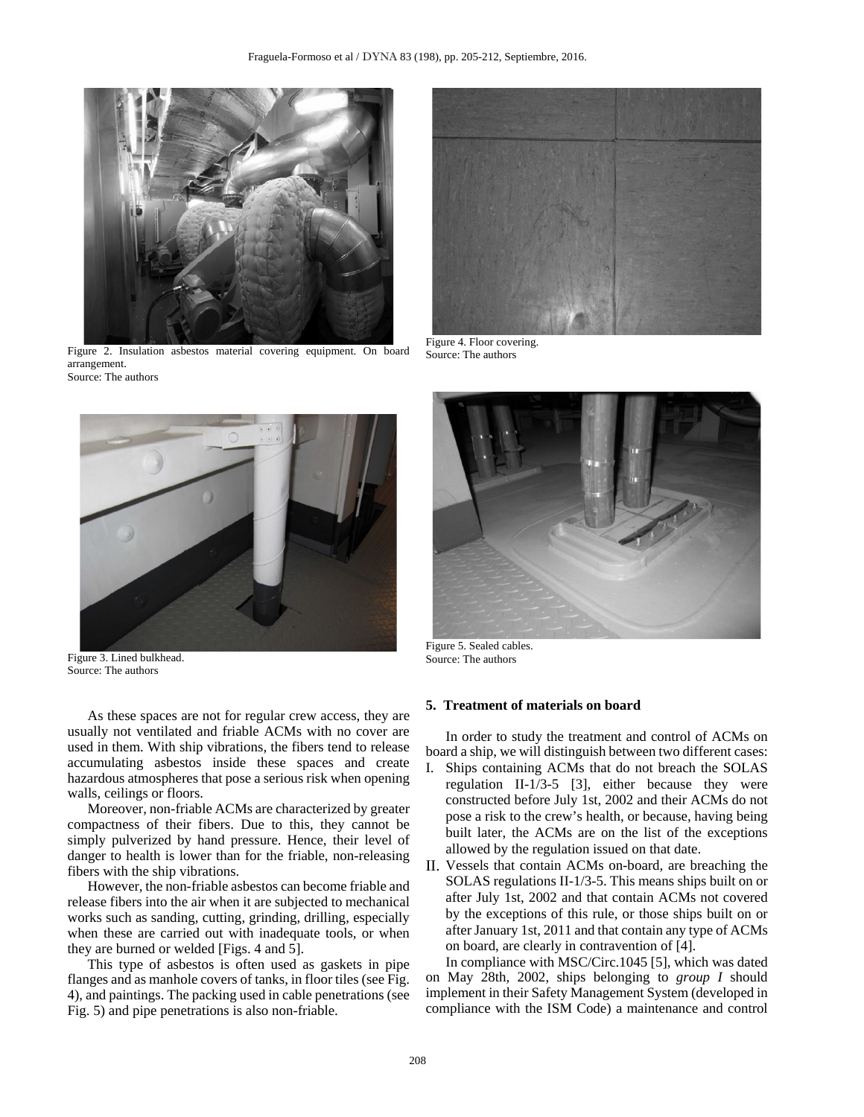

Figure 2. Insulation asbestos material covering equipment. On board arrangement. Source: The authors



Figure 3. Lined bulkhead. Source: The authors

As these spaces are not for regular crew access, they are usually not ventilated and friable ACMs with no cover are used in them. With ship vibrations, the fibers tend to release accumulating asbestos inside these spaces and create hazardous atmospheres that pose a serious risk when opening walls, ceilings or floors.

Moreover, non-friable ACMs are characterized by greater compactness of their fibers. Due to this, they cannot be simply pulverized by hand pressure. Hence, their level of danger to health is lower than for the friable, non-releasing fibers with the ship vibrations.

However, the non-friable asbestos can become friable and release fibers into the air when it are subjected to mechanical works such as sanding, cutting, grinding, drilling, especially when these are carried out with inadequate tools, or when they are burned or welded [Figs. 4 and 5].

This type of asbestos is often used as gaskets in pipe flanges and as manhole covers of tanks, in floor tiles (see Fig. 4), and paintings. The packing used in cable penetrations (see Fig. 5) and pipe penetrations is also non-friable.



Figure 4. Floor covering. Source: The authors



Figure 5. Sealed cables. Source: The authors

### **5. Treatment of materials on board**

In order to study the treatment and control of ACMs on board a ship, we will distinguish between two different cases:

- I. Ships containing ACMs that do not breach the SOLAS regulation II-1/3-5 [3], either because they were constructed before July 1st, 2002 and their ACMs do not pose a risk to the crew's health, or because, having being built later, the ACMs are on the list of the exceptions allowed by the regulation issued on that date.
- II. Vessels that contain ACMs on-board, are breaching the SOLAS regulations II-1/3-5. This means ships built on or after July 1st, 2002 and that contain ACMs not covered by the exceptions of this rule, or those ships built on or after January 1st, 2011 and that contain any type of ACMs on board, are clearly in contravention of [4].

In compliance with MSC/Circ.1045 [5], which was dated on May 28th, 2002, ships belonging to *group I* should implement in their Safety Management System (developed in compliance with the ISM Code) a maintenance and control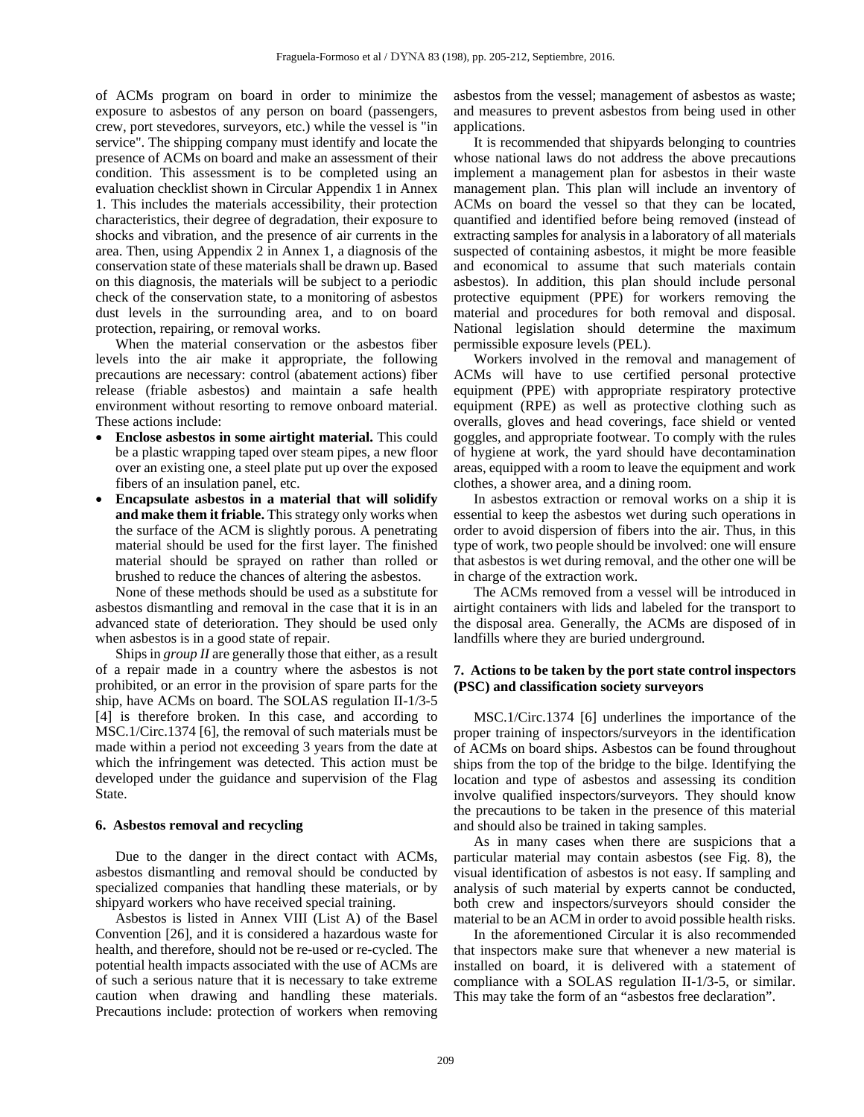of ACMs program on board in order to minimize the exposure to asbestos of any person on board (passengers, crew, port stevedores, surveyors, etc.) while the vessel is "in service". The shipping company must identify and locate the presence of ACMs on board and make an assessment of their condition. This assessment is to be completed using an evaluation checklist shown in Circular Appendix 1 in Annex 1. This includes the materials accessibility, their protection characteristics, their degree of degradation, their exposure to shocks and vibration, and the presence of air currents in the area. Then, using Appendix 2 in Annex 1, a diagnosis of the conservation state of these materials shall be drawn up. Based on this diagnosis, the materials will be subject to a periodic check of the conservation state, to a monitoring of asbestos dust levels in the surrounding area, and to on board protection, repairing, or removal works.

When the material conservation or the asbestos fiber levels into the air make it appropriate, the following precautions are necessary: control (abatement actions) fiber release (friable asbestos) and maintain a safe health environment without resorting to remove onboard material. These actions include:

- **Enclose asbestos in some airtight material.** This could be a plastic wrapping taped over steam pipes, a new floor over an existing one, a steel plate put up over the exposed fibers of an insulation panel, etc.
- **Encapsulate asbestos in a material that will solidify and make them it friable.** This strategy only works when the surface of the ACM is slightly porous. A penetrating material should be used for the first layer. The finished material should be sprayed on rather than rolled or brushed to reduce the chances of altering the asbestos.

None of these methods should be used as a substitute for asbestos dismantling and removal in the case that it is in an advanced state of deterioration. They should be used only when asbestos is in a good state of repair.

Ships in *group II* are generally those that either, as a result of a repair made in a country where the asbestos is not prohibited, or an error in the provision of spare parts for the ship, have ACMs on board. The SOLAS regulation II-1/3-5 [4] is therefore broken. In this case, and according to MSC.1/Circ.1374 [6], the removal of such materials must be made within a period not exceeding 3 years from the date at which the infringement was detected. This action must be developed under the guidance and supervision of the Flag State.

### **6. Asbestos removal and recycling**

Due to the danger in the direct contact with ACMs, asbestos dismantling and removal should be conducted by specialized companies that handling these materials, or by shipyard workers who have received special training.

Asbestos is listed in Annex VIII (List A) of the Basel Convention [26], and it is considered a hazardous waste for health, and therefore, should not be re-used or re-cycled. The potential health impacts associated with the use of ACMs are of such a serious nature that it is necessary to take extreme caution when drawing and handling these materials. Precautions include: protection of workers when removing asbestos from the vessel; management of asbestos as waste; and measures to prevent asbestos from being used in other applications.

It is recommended that shipyards belonging to countries whose national laws do not address the above precautions implement a management plan for asbestos in their waste management plan. This plan will include an inventory of ACMs on board the vessel so that they can be located, quantified and identified before being removed (instead of extracting samples for analysis in a laboratory of all materials suspected of containing asbestos, it might be more feasible and economical to assume that such materials contain asbestos). In addition, this plan should include personal protective equipment (PPE) for workers removing the material and procedures for both removal and disposal. National legislation should determine the maximum permissible exposure levels (PEL).

Workers involved in the removal and management of ACMs will have to use certified personal protective equipment (PPE) with appropriate respiratory protective equipment (RPE) as well as protective clothing such as overalls, gloves and head coverings, face shield or vented goggles, and appropriate footwear. To comply with the rules of hygiene at work, the yard should have decontamination areas, equipped with a room to leave the equipment and work clothes, a shower area, and a dining room.

In asbestos extraction or removal works on a ship it is essential to keep the asbestos wet during such operations in order to avoid dispersion of fibers into the air. Thus, in this type of work, two people should be involved: one will ensure that asbestos is wet during removal, and the other one will be in charge of the extraction work.

The ACMs removed from a vessel will be introduced in airtight containers with lids and labeled for the transport to the disposal area. Generally, the ACMs are disposed of in landfills where they are buried underground.

## **7. Actions to be taken by the port state control inspectors (PSC) and classification society surveyors**

MSC.1/Circ.1374 [6] underlines the importance of the proper training of inspectors/surveyors in the identification of ACMs on board ships. Asbestos can be found throughout ships from the top of the bridge to the bilge. Identifying the location and type of asbestos and assessing its condition involve qualified inspectors/surveyors. They should know the precautions to be taken in the presence of this material and should also be trained in taking samples.

As in many cases when there are suspicions that a particular material may contain asbestos (see Fig. 8), the visual identification of asbestos is not easy. If sampling and analysis of such material by experts cannot be conducted, both crew and inspectors/surveyors should consider the material to be an ACM in order to avoid possible health risks.

In the aforementioned Circular it is also recommended that inspectors make sure that whenever a new material is installed on board, it is delivered with a statement of compliance with a SOLAS regulation II-1/3-5, or similar. This may take the form of an "asbestos free declaration".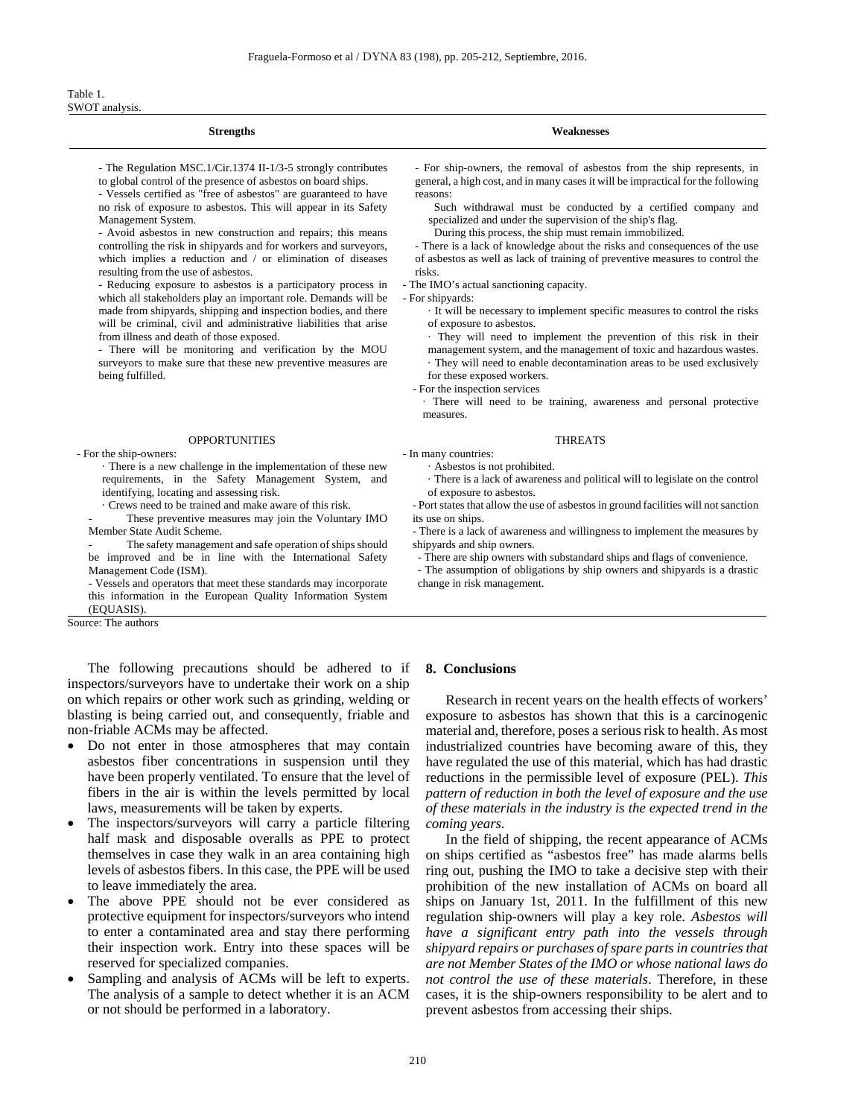#### Table 1. SWOT analysis.

| <b>Strengths</b>                                                 | <b>Weaknesses</b>                                                                |
|------------------------------------------------------------------|----------------------------------------------------------------------------------|
| - The Regulation MSC.1/Cir.1374 II-1/3-5 strongly contributes    | - For ship-owners, the removal of asbestos from the ship represents, in          |
| to global control of the presence of asbestos on board ships.    | general, a high cost, and in many cases it will be impractical for the following |
| - Vessels certified as "free of asbestos" are guaranteed to have | reasons:                                                                         |
| no risk of exposure to asbestos. This will appear in its Safety  | Such withdrawal must be conducted by a certified company and                     |
| Management System.                                               | specialized and under the supervision of the ship's flag.                        |
| - Avoid asbestos in new construction and repairs; this means     | During this process, the ship must remain immobilized.                           |
| controlling the risk in shipyards and for workers and surveyors, | - There is a lack of knowledge about the risks and consequences of the use       |
| which implies a reduction and / or elimination of diseases       | of asbestos as well as lack of training of preventive measures to control the    |
| resulting from the use of asbestos.                              | risks.                                                                           |
| - Reducing exposure to asbestos is a participatory process in    | - The IMO's actual sanctioning capacity.                                         |
| which all stakeholders play an important role. Demands will be   | - For shipyards:                                                                 |

· It will be necessary to implement specific measures to control the risks of exposure to asbestos.

· They will need to implement the prevention of this risk in their management system, and the management of toxic and hazardous wastes. · They will need to enable decontamination areas to be used exclusively for these exposed workers.

- For the inspection services

· There will need to be training, awareness and personal protective measures.

#### OPPORTUNITIES THREATS

- In many countries:

· Asbestos is not prohibited.

· There is a lack of awareness and political will to legislate on the control of exposure to asbestos.

- Port states that allow the use of asbestos in ground facilities will not sanction its use on ships.

- There is a lack of awareness and willingness to implement the measures by shipyards and ship owners.

- There are ship owners with substandard ships and flags of convenience.

- The assumption of obligations by ship owners and shipyards is a drastic change in risk management.

#### - For the ship-owners:

being fulfilled.

· There is a new challenge in the implementation of these new requirements, in the Safety Management System, and identifying, locating and assessing risk.

made from shipyards, shipping and inspection bodies, and there will be criminal, civil and administrative liabilities that arise

- There will be monitoring and verification by the MOU surveyors to make sure that these new preventive measures are

from illness and death of those exposed.

· Crews need to be trained and make aware of this risk.

These preventive measures may join the Voluntary IMO Member State Audit Scheme.

The safety management and safe operation of ships should be improved and be in line with the International Safety Management Code (ISM).

- Vessels and operators that meet these standards may incorporate this information in the European Quality Information System (EQUASIS).

Source: The authors

The following precautions should be adhered to if inspectors/surveyors have to undertake their work on a ship on which repairs or other work such as grinding, welding or blasting is being carried out, and consequently, friable and non-friable ACMs may be affected.

- Do not enter in those atmospheres that may contain asbestos fiber concentrations in suspension until they have been properly ventilated. To ensure that the level of fibers in the air is within the levels permitted by local laws, measurements will be taken by experts.
- The inspectors/surveyors will carry a particle filtering half mask and disposable overalls as PPE to protect themselves in case they walk in an area containing high levels of asbestos fibers. In this case, the PPE will be used to leave immediately the area.
- The above PPE should not be ever considered as protective equipment for inspectors/surveyors who intend to enter a contaminated area and stay there performing their inspection work. Entry into these spaces will be reserved for specialized companies.
- Sampling and analysis of ACMs will be left to experts. The analysis of a sample to detect whether it is an ACM or not should be performed in a laboratory.

#### **8. Conclusions**

Research in recent years on the health effects of workers' exposure to asbestos has shown that this is a carcinogenic material and, therefore, poses a serious risk to health. As most industrialized countries have becoming aware of this, they have regulated the use of this material, which has had drastic reductions in the permissible level of exposure (PEL). *This pattern of reduction in both the level of exposure and the use of these materials in the industry is the expected trend in the coming years.*

In the field of shipping, the recent appearance of ACMs on ships certified as "asbestos free" has made alarms bells ring out, pushing the IMO to take a decisive step with their prohibition of the new installation of ACMs on board all ships on January 1st, 2011. In the fulfillment of this new regulation ship-owners will play a key role. *Asbestos will have a significant entry path into the vessels through shipyard repairs or purchases of spare parts in countries that are not Member States of the IMO or whose national laws do not control the use of these materials*. Therefore, in these cases, it is the ship-owners responsibility to be alert and to prevent asbestos from accessing their ships.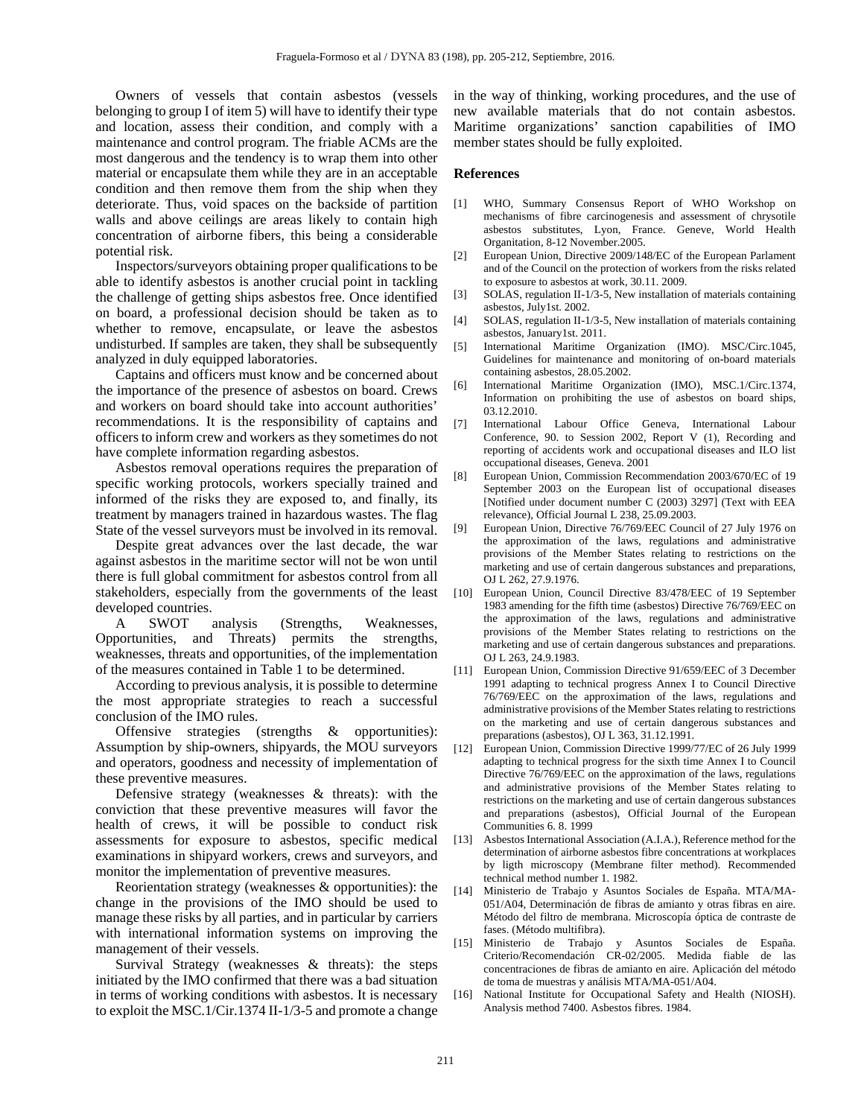Owners of vessels that contain asbestos (vessels belonging to group I of item 5) will have to identify their type and location, assess their condition, and comply with a maintenance and control program. The friable ACMs are the most dangerous and the tendency is to wrap them into other material or encapsulate them while they are in an acceptable condition and then remove them from the ship when they deteriorate. Thus, void spaces on the backside of partition walls and above ceilings are areas likely to contain high concentration of airborne fibers, this being a considerable potential risk.

Inspectors/surveyors obtaining proper qualifications to be able to identify asbestos is another crucial point in tackling the challenge of getting ships asbestos free. Once identified on board, a professional decision should be taken as to whether to remove, encapsulate, or leave the asbestos undisturbed. If samples are taken, they shall be subsequently analyzed in duly equipped laboratories.

Captains and officers must know and be concerned about the importance of the presence of asbestos on board. Crews and workers on board should take into account authorities' recommendations. It is the responsibility of captains and officers to inform crew and workers as they sometimes do not have complete information regarding asbestos.

Asbestos removal operations requires the preparation of specific working protocols, workers specially trained and informed of the risks they are exposed to, and finally, its treatment by managers trained in hazardous wastes. The flag State of the vessel surveyors must be involved in its removal.

Despite great advances over the last decade, the war against asbestos in the maritime sector will not be won until there is full global commitment for asbestos control from all stakeholders, especially from the governments of the least developed countries.

A SWOT analysis (Strengths, Weaknesses, portunities, and Threats) permits the strengths, Opportunities, and Threats) weaknesses, threats and opportunities, of the implementation of the measures contained in Table 1 to be determined.

According to previous analysis, it is possible to determine the most appropriate strategies to reach a successful conclusion of the IMO rules.

Offensive strategies (strengths & opportunities): Assumption by ship-owners, shipyards, the MOU surveyors and operators, goodness and necessity of implementation of these preventive measures.

Defensive strategy (weaknesses & threats): with the conviction that these preventive measures will favor the health of crews, it will be possible to conduct risk assessments for exposure to asbestos, specific medical examinations in shipyard workers, crews and surveyors, and monitor the implementation of preventive measures.

Reorientation strategy (weaknesses & opportunities): the change in the provisions of the IMO should be used to manage these risks by all parties, and in particular by carriers with international information systems on improving the management of their vessels.

Survival Strategy (weaknesses & threats): the steps initiated by the IMO confirmed that there was a bad situation in terms of working conditions with asbestos. It is necessary to exploit the MSC.1/Cir.1374 II-1/3-5 and promote a change in the way of thinking, working procedures, and the use of new available materials that do not contain asbestos. Maritime organizations' sanction capabilities of IMO member states should be fully exploited.

#### **References**

- [1] WHO, Summary Consensus Report of WHO Workshop on mechanisms of fibre carcinogenesis and assessment of chrysotile asbestos substitutes, Lyon, France. Geneve, World Health Organitation, 8-12 November.2005.
- [2] European Union, Directive 2009/148/EC of the European Parlament and of the Council on the protection of workers from the risks related to exposure to asbestos at work, 30.11. 2009.
- [3] SOLAS, regulation II-1/3-5, New installation of materials containing asbestos, July1st. 2002.
- [4] SOLAS, regulation II-1/3-5, New installation of materials containing asbestos, January1st. 2011.
- [5] International Maritime Organization (IMO). MSC/Circ.1045, Guidelines for maintenance and monitoring of on-board materials containing asbestos, 28.05.2002.
- [6] International Maritime Organization (IMO), MSC.1/Circ.1374, Information on prohibiting the use of asbestos on board ships, 03.12.2010.
- [7] International Labour Office Geneva, International Labour Conference, 90. to Session 2002, Report V (1), Recording and reporting of accidents work and occupational diseases and ILO list occupational diseases, Geneva. 2001
- [8] European Union, Commission Recommendation 2003/670/EC of 19 September 2003 on the European list of occupational diseases [Notified under document number C (2003) 3297] (Text with EEA relevance), Official Journal L 238, 25.09.2003.
- [9] European Union, Directive 76/769/EEC Council of 27 July 1976 on the approximation of the laws, regulations and administrative provisions of the Member States relating to restrictions on the marketing and use of certain dangerous substances and preparations, OJ L 262, 27.9.1976.
- [10] European Union, Council Directive 83/478/EEC of 19 September 1983 amending for the fifth time (asbestos) Directive 76/769/EEC on the approximation of the laws, regulations and administrative provisions of the Member States relating to restrictions on the marketing and use of certain dangerous substances and preparations. OJ L 263, 24.9.1983.
- [11] European Union, Commission Directive 91/659/EEC of 3 December 1991 adapting to technical progress Annex I to Council Directive 76/769/EEC on the approximation of the laws, regulations and administrative provisions of the Member States relating to restrictions on the marketing and use of certain dangerous substances and preparations (asbestos), OJ L 363, 31.12.1991.
- [12] European Union, Commission Directive 1999/77/EC of 26 July 1999 adapting to technical progress for the sixth time Annex I to Council Directive 76/769/EEC on the approximation of the laws, regulations and administrative provisions of the Member States relating to restrictions on the marketing and use of certain dangerous substances and preparations (asbestos), Official Journal of the European Communities 6. 8. 1999
- [13] Asbestos International Association (A.I.A.), Reference method for the determination of airborne asbestos fibre concentrations at workplaces by ligth microscopy (Membrane filter method). Recommended technical method number 1. 1982.
- [14] Ministerio de Trabajo y Asuntos Sociales de España. MTA/MA-051/A04, Determinación de fibras de amianto y otras fibras en aire. Método del filtro de membrana. Microscopía óptica de contraste de fases. (Método multifibra).
- [15] Ministerio de Trabajo y Asuntos Sociales de España. Criterio/Recomendación CR-02/2005. Medida fiable de las concentraciones de fibras de amianto en aire. Aplicación del método de toma de muestras y análisis MTA/MA-051/A04.
- [16] National Institute for Occupational Safety and Health (NIOSH). Analysis method 7400. Asbestos fibres. 1984.